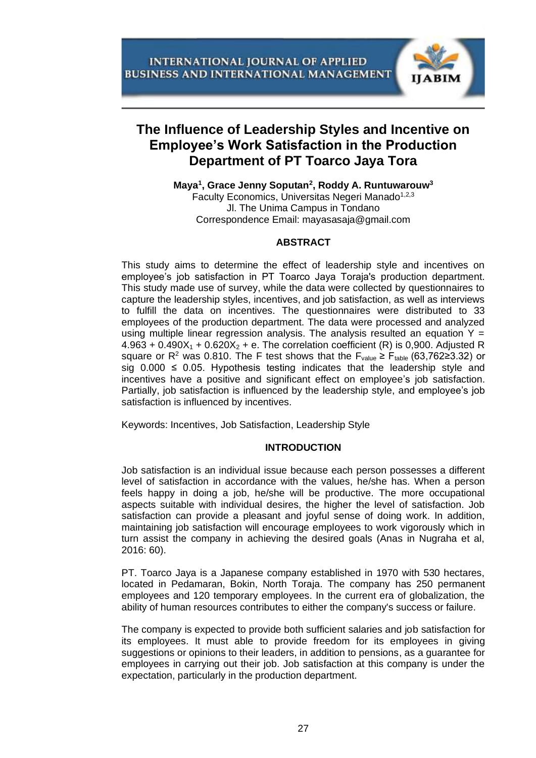

# **The Influence of Leadership Styles and Incentive on Employee's Work Satisfaction in the Production Department of PT Toarco Jaya Tora**

**Maya<sup>1</sup> , Grace Jenny Soputan<sup>2</sup> , Roddy A. Runtuwarouw<sup>3</sup>** Faculty Economics, Universitas Negeri Manado<sup>1,2,3</sup> Jl. The Unima Campus in Tondano Correspondence Email: mayasasaja@gmail.com

# **ABSTRACT**

This study aims to determine the effect of leadership style and incentives on employee's job satisfaction in PT Toarco Jaya Toraja's production department. This study made use of survey, while the data were collected by questionnaires to capture the leadership styles, incentives, and job satisfaction, as well as interviews to fulfill the data on incentives. The questionnaires were distributed to 33 employees of the production department. The data were processed and analyzed using multiple linear regression analysis. The analysis resulted an equation  $Y =$  $4.963 + 0.490X_1 + 0.620X_2 + e$ . The correlation coefficient (R) is 0,900. Adjusted R square or R<sup>2</sup> was 0.810. The F test shows that the F<sub>value</sub> ≥ F<sub>table</sub> (63,762≥3.32) or sig  $0.000 \le 0.05$ . Hypothesis testing indicates that the leadership style and incentives have a positive and significant effect on employee's job satisfaction. Partially, job satisfaction is influenced by the leadership style, and employee's job satisfaction is influenced by incentives.

Keywords: Incentives, Job Satisfaction, Leadership Style

# **INTRODUCTION**

Job satisfaction is an individual issue because each person possesses a different level of satisfaction in accordance with the values, he/she has. When a person feels happy in doing a job, he/she will be productive. The more occupational aspects suitable with individual desires, the higher the level of satisfaction. Job satisfaction can provide a pleasant and joyful sense of doing work. In addition, maintaining job satisfaction will encourage employees to work vigorously which in turn assist the company in achieving the desired goals (Anas in Nugraha et al, 2016: 60).

PT. Toarco Jaya is a Japanese company established in 1970 with 530 hectares, located in Pedamaran, Bokin, North Toraja. The company has 250 permanent employees and 120 temporary employees. In the current era of globalization, the ability of human resources contributes to either the company's success or failure.

The company is expected to provide both sufficient salaries and job satisfaction for its employees. It must able to provide freedom for its employees in giving suggestions or opinions to their leaders, in addition to pensions, as a guarantee for employees in carrying out their job. Job satisfaction at this company is under the expectation, particularly in the production department.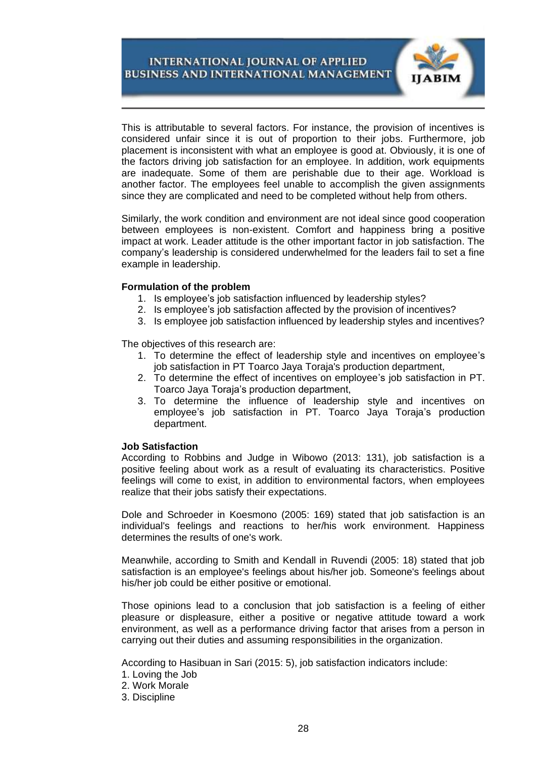

This is attributable to several factors. For instance, the provision of incentives is considered unfair since it is out of proportion to their jobs. Furthermore, job placement is inconsistent with what an employee is good at. Obviously, it is one of the factors driving job satisfaction for an employee. In addition, work equipments are inadequate. Some of them are perishable due to their age. Workload is another factor. The employees feel unable to accomplish the given assignments since they are complicated and need to be completed without help from others.

Similarly, the work condition and environment are not ideal since good cooperation between employees is non-existent. Comfort and happiness bring a positive impact at work. Leader attitude is the other important factor in job satisfaction. The company's leadership is considered underwhelmed for the leaders fail to set a fine example in leadership.

# **Formulation of the problem**

- 1. Is employee's job satisfaction influenced by leadership styles?
- 2. Is employee's job satisfaction affected by the provision of incentives?
- 3. Is employee job satisfaction influenced by leadership styles and incentives?

The objectives of this research are:

- 1. To determine the effect of leadership style and incentives on employee's job satisfaction in PT Toarco Jaya Toraja's production department,
- 2. To determine the effect of incentives on employee's job satisfaction in PT. Toarco Jaya Toraja's production department,
- 3. To determine the influence of leadership style and incentives on employee's job satisfaction in PT. Toarco Jaya Toraja's production department.

### **Job Satisfaction**

According to Robbins and Judge in Wibowo (2013: 131), job satisfaction is a positive feeling about work as a result of evaluating its characteristics. Positive feelings will come to exist, in addition to environmental factors, when employees realize that their jobs satisfy their expectations.

Dole and Schroeder in Koesmono (2005: 169) stated that job satisfaction is an individual's feelings and reactions to her/his work environment. Happiness determines the results of one's work.

Meanwhile, according to Smith and Kendall in Ruvendi (2005: 18) stated that job satisfaction is an employee's feelings about his/her job. Someone's feelings about his/her job could be either positive or emotional.

Those opinions lead to a conclusion that job satisfaction is a feeling of either pleasure or displeasure, either a positive or negative attitude toward a work environment, as well as a performance driving factor that arises from a person in carrying out their duties and assuming responsibilities in the organization.

According to Hasibuan in Sari (2015: 5), job satisfaction indicators include:

- 1. Loving the Job
- 2. Work Morale
- 3. Discipline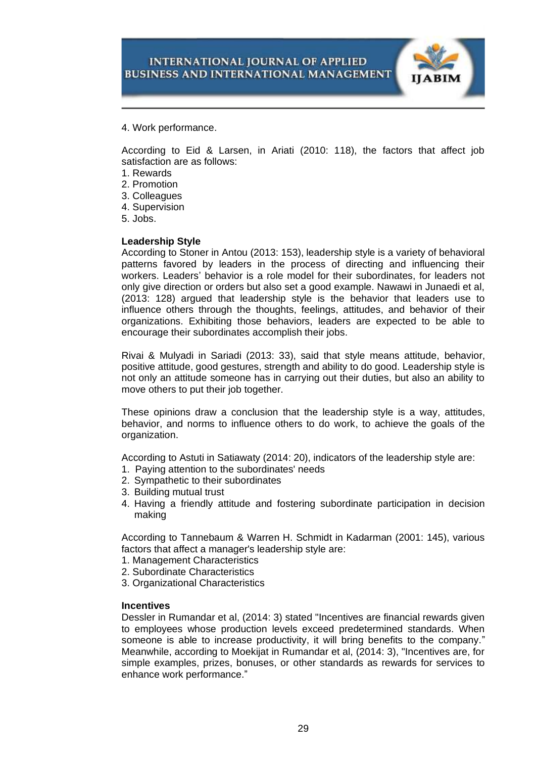

4. Work performance.

According to Eid & Larsen, in Ariati (2010: 118), the factors that affect job satisfaction are as follows:

- 1. Rewards
- 2. Promotion
- 3. Colleagues
- 4. Supervision
- 5. Jobs.

# **Leadership Style**

According to Stoner in Antou (2013: 153), leadership style is a variety of behavioral patterns favored by leaders in the process of directing and influencing their workers. Leaders' behavior is a role model for their subordinates, for leaders not only give direction or orders but also set a good example. Nawawi in Junaedi et al, (2013: 128) argued that leadership style is the behavior that leaders use to influence others through the thoughts, feelings, attitudes, and behavior of their organizations. Exhibiting those behaviors, leaders are expected to be able to encourage their subordinates accomplish their jobs.

Rivai & Mulyadi in Sariadi (2013: 33), said that style means attitude, behavior, positive attitude, good gestures, strength and ability to do good. Leadership style is not only an attitude someone has in carrying out their duties, but also an ability to move others to put their job together.

These opinions draw a conclusion that the leadership style is a way, attitudes, behavior, and norms to influence others to do work, to achieve the goals of the organization.

According to Astuti in Satiawaty (2014: 20), indicators of the leadership style are:

- 1. Paying attention to the subordinates' needs
- 2. Sympathetic to their subordinates
- 3. Building mutual trust
- 4. Having a friendly attitude and fostering subordinate participation in decision making

According to Tannebaum & Warren H. Schmidt in Kadarman (2001: 145), various factors that affect a manager's leadership style are:

- 1. Management Characteristics
- 2. Subordinate Characteristics
- 3. Organizational Characteristics

### **Incentives**

Dessler in Rumandar et al, (2014: 3) stated "Incentives are financial rewards given to employees whose production levels exceed predetermined standards. When someone is able to increase productivity, it will bring benefits to the company." Meanwhile, according to Moekijat in Rumandar et al, (2014: 3), "Incentives are, for simple examples, prizes, bonuses, or other standards as rewards for services to enhance work performance."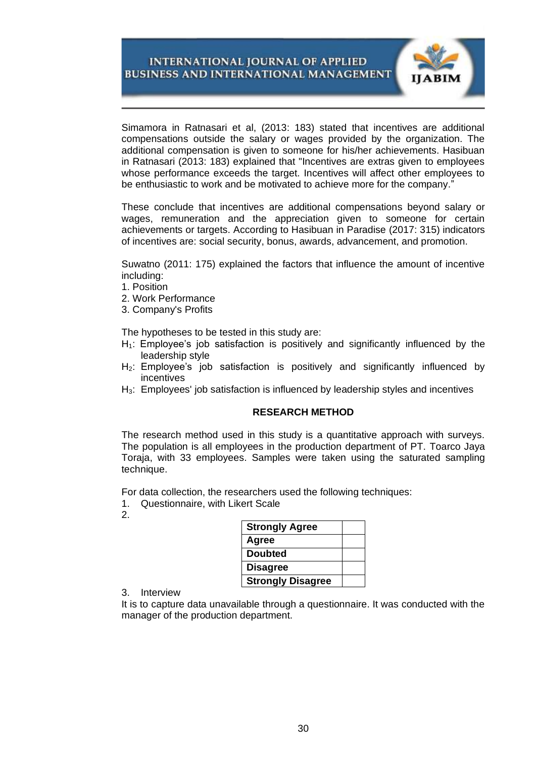

Simamora in Ratnasari et al, (2013: 183) stated that incentives are additional compensations outside the salary or wages provided by the organization. The additional compensation is given to someone for his/her achievements. Hasibuan in Ratnasari (2013: 183) explained that "Incentives are extras given to employees whose performance exceeds the target. Incentives will affect other employees to be enthusiastic to work and be motivated to achieve more for the company."

These conclude that incentives are additional compensations beyond salary or wages, remuneration and the appreciation given to someone for certain achievements or targets. According to Hasibuan in Paradise (2017: 315) indicators of incentives are: social security, bonus, awards, advancement, and promotion.

Suwatno (2011: 175) explained the factors that influence the amount of incentive including:

- 1. Position
- 2. Work Performance
- 3. Company's Profits

The hypotheses to be tested in this study are:

- $H_1$ : Employee's job satisfaction is positively and significantly influenced by the leadership style
- H<sub>2</sub>: Employee's job satisfaction is positively and significantly influenced by incentives
- H3: Employees' job satisfaction is influenced by leadership styles and incentives

### **RESEARCH METHOD**

The research method used in this study is a quantitative approach with surveys. The population is all employees in the production department of PT. Toarco Jaya Toraja, with 33 employees. Samples were taken using the saturated sampling technique.

For data collection, the researchers used the following techniques:

1. Questionnaire, with Likert Scale

2.

| <b>Strongly Agree</b>    |  |
|--------------------------|--|
| Agree                    |  |
| <b>Doubted</b>           |  |
| <b>Disagree</b>          |  |
| <b>Strongly Disagree</b> |  |

3. Interview

It is to capture data unavailable through a questionnaire. It was conducted with the manager of the production department.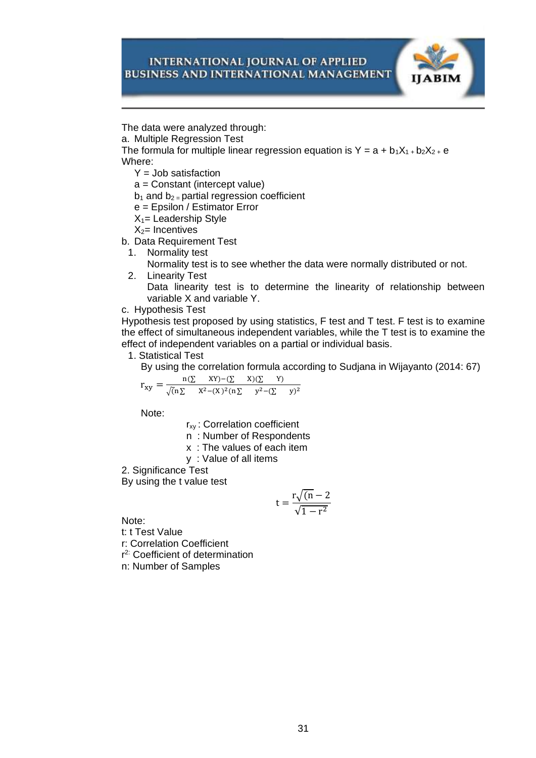

The data were analyzed through:

a. Multiple Regression Test

The formula for multiple linear regression equation is  $Y = a + b_1X_1 + b_2X_2 + e$ Where:

 $Y =$  Job satisfaction

a = Constant (intercept value)

 $b_1$  and  $b_2$  = partial regression coefficient

e = Epsilon / Estimator Error

 $X_1$ = Leadership Style

 $X_2$ = Incentives

b. Data Requirement Test

1. Normality test

Normality test is to see whether the data were normally distributed or not.

2. Linearity Test

Data linearity test is to determine the linearity of relationship between variable X and variable Y.

c. Hypothesis Test

Hypothesis test proposed by using statistics, F test and T test. F test is to examine the effect of simultaneous independent variables, while the T test is to examine the effect of independent variables on a partial or individual basis.

1. Statistical Test

By using the correlation formula according to Sudjana in Wijayanto (2014: 67)

$$
r_{xy} = \frac{n(\Sigma - XY) - (\Sigma - X)(\Sigma - Y)}{\sqrt{(n\Sigma - X^2 - (X)^2(n\Sigma - y^2 - (\Sigma - y)^2)}}
$$

Note:

r<sub>xy</sub>: Correlation coefficient

n : Number of Respondents

x : The values of each item

y : Value of all items

2. Significance Test

By using the t value test

$$
t = \frac{r\sqrt{(n-2)}}{\sqrt{1-r^2}}
$$

Note:

t: t Test Value

r: Correlation Coefficient

r 2: Coefficient of determination

n: Number of Samples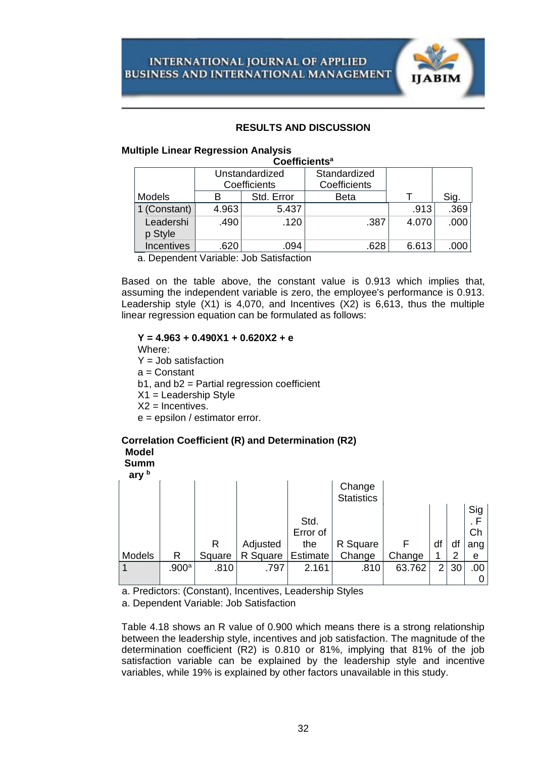

# **RESULTS AND DISCUSSION**

### **Multiple Linear Regression Analysis**

#### **Coefficients<sup>a</sup>**

|                      | Unstandardized<br>Coefficients |            | Standardized<br>Coefficients |       |                   |
|----------------------|--------------------------------|------------|------------------------------|-------|-------------------|
| Models               | В                              | Std. Error | <b>Beta</b>                  |       | Sig.              |
| 1 (Constant)         | 4.963                          | 5.437      |                              | .913  | .369              |
| Leadershi<br>p Style | .490                           | .120       | .387                         | 4.070 | .000              |
| <b>Incentives</b>    | .620                           | .094       | .628                         | 6.613 | .000 <sub>1</sub> |

a. Dependent Variable: Job Satisfaction

Based on the table above, the constant value is 0.913 which implies that, assuming the independent variable is zero, the employee's performance is 0.913. Leadership style (X1) is 4,070, and Incentives (X2) is 6,613, thus the multiple linear regression equation can be formulated as follows:

### **Y = 4.963 + 0.490X1 + 0.620X2 + e**

Where:

**Model**

- $Y =$  Job satisfaction
- a = Constant
- b1, and b2 = Partial regression coefficient

**Correlation Coefficient (R) and Determination (R2)**

- X1 = Leadership Style
- $X2$  = Incentives.
- e = epsilon / estimator error.

| muaci<br><b>Summ</b><br>ary b                         |       |        |          |                 |                   |        |                |    |     |
|-------------------------------------------------------|-------|--------|----------|-----------------|-------------------|--------|----------------|----|-----|
|                                                       |       |        |          |                 | Change            |        |                |    |     |
|                                                       |       |        |          |                 | <b>Statistics</b> |        |                |    |     |
|                                                       |       |        |          |                 |                   |        |                |    | Sig |
|                                                       |       |        |          | Std.            |                   |        |                |    | . F |
|                                                       |       |        |          | Error of        |                   |        |                |    | Ch  |
|                                                       |       | R      | Adjusted | the             | R Square          | F      | df             | df | ang |
| <b>Models</b>                                         | R     | Square | R Square | <b>Estimate</b> | Change            | Change |                | 2  | е   |
|                                                       | .900a | .810   | .797     | 2.161           | .810              | 63.762 | $\overline{2}$ | 30 | .00 |
|                                                       |       |        |          |                 |                   |        |                |    |     |
| e Dredistere: (Censtant) Incontiuse Leadership Ctules |       |        |          |                 |                   |        |                |    |     |

a. Predictors: (Constant), Incentives, Leadership Styles

a. Dependent Variable: Job Satisfaction

Table 4.18 shows an R value of 0.900 which means there is a strong relationship between the leadership style, incentives and job satisfaction. The magnitude of the determination coefficient (R2) is 0.810 or 81%, implying that 81% of the job satisfaction variable can be explained by the leadership style and incentive variables, while 19% is explained by other factors unavailable in this study.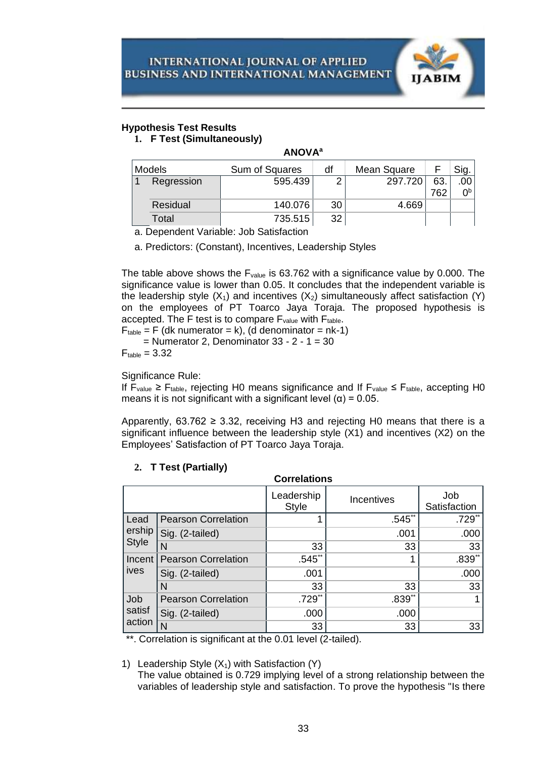

# **Hypothesis Test Results**

**1. F Test (Simultaneously)**

# **ANOVA<sup>a</sup>**

| Models     | Sum of Squares | df | Mean Square |     |    |
|------------|----------------|----|-------------|-----|----|
| Regression | 595.439        |    | 297.720     | 63  |    |
|            |                |    |             | 762 | ∩b |
| Residual   | 140.076        | 30 | 4.669       |     |    |
| Total      | 735.515        | 32 |             |     |    |

a. Dependent Variable: Job Satisfaction

a. Predictors: (Constant), Incentives, Leadership Styles

The table above shows the  $F_{value}$  is 63.762 with a significance value by 0.000. The significance value is lower than 0.05. It concludes that the independent variable is the leadership style  $(X_1)$  and incentives  $(X_2)$  simultaneously affect satisfaction  $(Y)$ on the employees of PT Toarco Jaya Toraja. The proposed hypothesis is accepted. The F test is to compare  $F_{value}$  with  $F_{table}$ .

 $F_{table} = F$  (dk numerator = k), (d denominator = nk-1)

 $=$  Numerator 2, Denominator 33 - 2 - 1 = 30

 $F_{\text{table}} = 3.32$ 

Significance Rule:

If F<sub>value</sub> ≥ F<sub>table</sub>, rejecting H0 means significance and If F<sub>value</sub> ≤ F<sub>table</sub>, accepting H0 means it is not significant with a significant level  $(\alpha) = 0.05$ .

Apparently, 63.762  $\geq$  3.32, receiving H3 and rejecting H0 means that there is a significant influence between the leadership style (X1) and incentives (X2) on the Employees' Satisfaction of PT Toarco Jaya Toraja.

| <b>Correlations</b>     |                            |                            |            |                     |  |  |  |
|-------------------------|----------------------------|----------------------------|------------|---------------------|--|--|--|
|                         |                            | Leadership<br><b>Style</b> | Incentives | Job<br>Satisfaction |  |  |  |
| Lead                    | <b>Pearson Correlation</b> |                            | $.545**$   | $.729$ **           |  |  |  |
| ership                  | Sig. (2-tailed)            |                            | .001       | .000                |  |  |  |
| <b>Style</b>            | N                          | 33                         | 33         | 33                  |  |  |  |
| Incent<br>ives          | <b>Pearson Correlation</b> | .545                       | 1          | $.839**$            |  |  |  |
|                         | Sig. (2-tailed)            | .001                       |            | .000                |  |  |  |
|                         | N                          | 33                         | 33         | 33                  |  |  |  |
| Job<br>satisf<br>action | <b>Pearson Correlation</b> | $.729**$                   | $.839**$   |                     |  |  |  |
|                         | Sig. (2-tailed)            | .000                       | .000       |                     |  |  |  |
|                         | N                          | 33                         | 33         | 33                  |  |  |  |

# **2. T Test (Partially)**

\*\*. Correlation is significant at the 0.01 level (2-tailed).

1) Leadership Style  $(X_1)$  with Satisfaction  $(Y)$ 

The value obtained is 0.729 implying level of a strong relationship between the variables of leadership style and satisfaction. To prove the hypothesis "Is there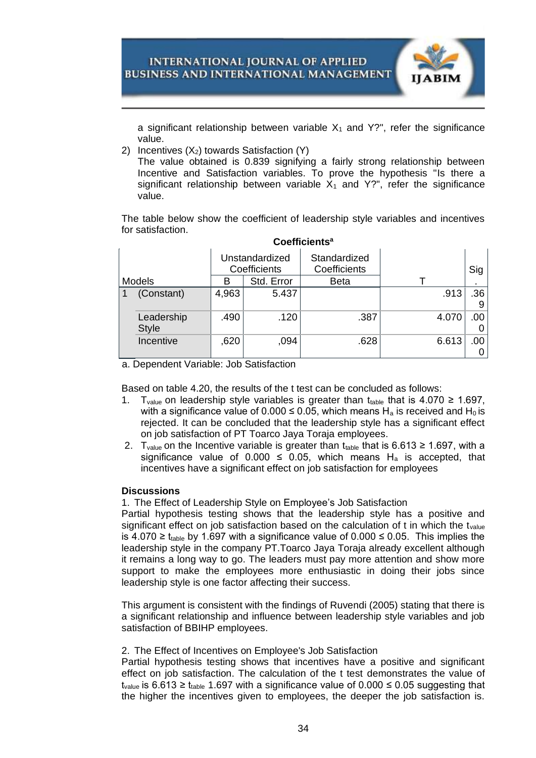

a significant relationship between variable  $X_1$  and Y?", refer the significance value.

2) Incentives  $(X_2)$  towards Satisfaction  $(Y)$ 

The value obtained is 0.839 signifying a fairly strong relationship between Incentive and Satisfaction variables. To prove the hypothesis "Is there a significant relationship between variable  $X_1$  and Y?", refer the significance value.

The table below show the coefficient of leadership style variables and incentives for satisfaction.

|               |                            |                                |            | <b>UUGHIUIGHI</b> J          |       |                |
|---------------|----------------------------|--------------------------------|------------|------------------------------|-------|----------------|
|               |                            | Unstandardized<br>Coefficients |            | Standardized<br>Coefficients |       | Sig            |
| <b>Models</b> |                            | В                              | Std. Error | <b>Beta</b>                  |       | $\blacksquare$ |
|               | (Constant)                 | 4,963                          | 5.437      |                              | .913  | .36            |
|               | Leadership<br><b>Style</b> | .490                           | .120       | .387                         | 4.070 | .00.           |
|               | Incentive                  | ,620                           | ,094       | .628                         | 6.613 | .00            |

# **Coefficients<sup>a</sup>**

a. Dependent Variable: Job Satisfaction

Based on table 4.20, the results of the t test can be concluded as follows:

- 1. T<sub>value</sub> on leadership style variables is greater than t<sub>table</sub> that is 4.070 ≥ 1.697, with a significance value of 0.000  $\leq$  0.05, which means H<sub>a</sub> is received and H<sub>0</sub> is rejected. It can be concluded that the leadership style has a significant effect on job satisfaction of PT Toarco Jaya Toraja employees.
- 2. T<sub>value</sub> on the Incentive variable is greater than t<sub>table</sub> that is 6.613 ≥ 1.697, with a significance value of 0.000  $\leq$  0.05, which means H<sub>a</sub> is accepted, that incentives have a significant effect on job satisfaction for employees

# **Discussions**

1. The Effect of Leadership Style on Employee's Job Satisfaction

Partial hypothesis testing shows that the leadership style has a positive and significant effect on job satisfaction based on the calculation of  $t$  in which the t<sub>value</sub> is 4.070 ≥ t<sub>table</sub> by 1.697 with a significance value of 0.000 ≤ 0.05. This implies the leadership style in the company PT.Toarco Jaya Toraja already excellent although it remains a long way to go. The leaders must pay more attention and show more support to make the employees more enthusiastic in doing their jobs since leadership style is one factor affecting their success.

This argument is consistent with the findings of Ruvendi (2005) stating that there is a significant relationship and influence between leadership style variables and job satisfaction of BBIHP employees.

# 2. The Effect of Incentives on Employee's Job Satisfaction

Partial hypothesis testing shows that incentives have a positive and significant effect on job satisfaction. The calculation of the t test demonstrates the value of t<sub>value</sub> is 6.613  $\geq$  t<sub>table</sub> 1.697 with a significance value of 0.000  $\leq$  0.05 suggesting that the higher the incentives given to employees, the deeper the job satisfaction is.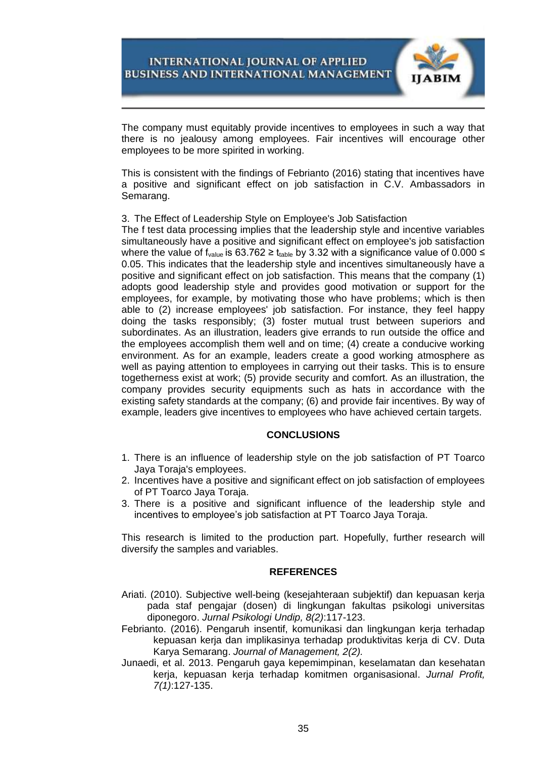

The company must equitably provide incentives to employees in such a way that there is no jealousy among employees. Fair incentives will encourage other employees to be more spirited in working.

This is consistent with the findings of Febrianto (2016) stating that incentives have a positive and significant effect on job satisfaction in C.V. Ambassadors in Semarang.

## 3. The Effect of Leadership Style on Employee's Job Satisfaction

The f test data processing implies that the leadership style and incentive variables simultaneously have a positive and significant effect on employee's job satisfaction where the value of f<sub>value</sub> is 63.762 ≥ t<sub>table</sub> by 3.32 with a significance value of 0.000 ≤ 0.05. This indicates that the leadership style and incentives simultaneously have a positive and significant effect on job satisfaction. This means that the company (1) adopts good leadership style and provides good motivation or support for the employees, for example, by motivating those who have problems; which is then able to (2) increase employees' job satisfaction. For instance, they feel happy doing the tasks responsibly; (3) foster mutual trust between superiors and subordinates. As an illustration, leaders give errands to run outside the office and the employees accomplish them well and on time; (4) create a conducive working environment. As for an example, leaders create a good working atmosphere as well as paying attention to employees in carrying out their tasks. This is to ensure togetherness exist at work; (5) provide security and comfort. As an illustration, the company provides security equipments such as hats in accordance with the existing safety standards at the company; (6) and provide fair incentives. By way of example, leaders give incentives to employees who have achieved certain targets.

# **CONCLUSIONS**

- 1. There is an influence of leadership style on the job satisfaction of PT Toarco Jaya Toraja's employees.
- 2. Incentives have a positive and significant effect on job satisfaction of employees of PT Toarco Jaya Toraja.
- 3. There is a positive and significant influence of the leadership style and incentives to employee's job satisfaction at PT Toarco Jaya Toraja.

This research is limited to the production part. Hopefully, further research will diversify the samples and variables.

### **REFERENCES**

- Ariati. (2010). Subjective well-being (kesejahteraan subjektif) dan kepuasan kerja pada staf pengajar (dosen) di lingkungan fakultas psikologi universitas diponegoro. *Jurnal Psikologi Undip, 8(2)*:117-123.
- Febrianto. (2016). Pengaruh insentif, komunikasi dan lingkungan kerja terhadap kepuasan kerja dan implikasinya terhadap produktivitas kerja di CV. Duta Karya Semarang. *Journal of Management, 2(2).*
- Junaedi, et al. 2013. Pengaruh gaya kepemimpinan, keselamatan dan kesehatan kerja, kepuasan kerja terhadap komitmen organisasional. *Jurnal Profit, 7(1)*:127-135.